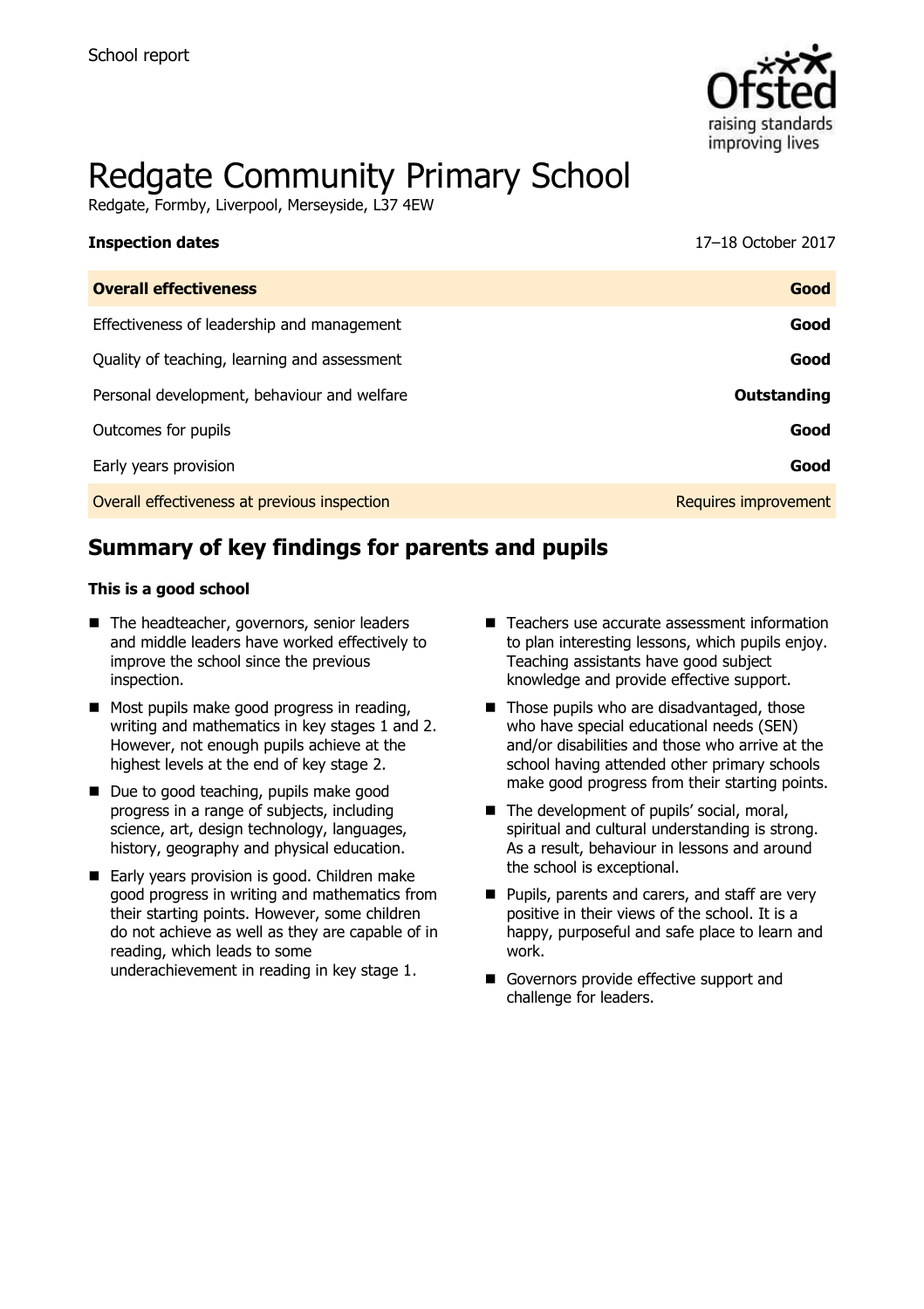

# Redgate Community Primary School

Redgate, Formby, Liverpool, Merseyside, L37 4EW

| <b>Inspection dates</b>                      | 17–18 October 2017   |
|----------------------------------------------|----------------------|
| <b>Overall effectiveness</b>                 | Good                 |
| Effectiveness of leadership and management   | Good                 |
| Quality of teaching, learning and assessment | Good                 |
| Personal development, behaviour and welfare  | <b>Outstanding</b>   |
| Outcomes for pupils                          | Good                 |
| Early years provision                        | Good                 |
| Overall effectiveness at previous inspection | Requires improvement |

# **Summary of key findings for parents and pupils**

#### **This is a good school**

- The headteacher, governors, senior leaders and middle leaders have worked effectively to improve the school since the previous inspection.
- Most pupils make good progress in reading, writing and mathematics in key stages 1 and 2. However, not enough pupils achieve at the highest levels at the end of key stage 2.
- Due to good teaching, pupils make good progress in a range of subjects, including science, art, design technology, languages, history, geography and physical education.
- Early years provision is good. Children make good progress in writing and mathematics from their starting points. However, some children do not achieve as well as they are capable of in reading, which leads to some underachievement in reading in key stage 1.
- Teachers use accurate assessment information to plan interesting lessons, which pupils enjoy. Teaching assistants have good subject knowledge and provide effective support.
- $\blacksquare$  Those pupils who are disadvantaged, those who have special educational needs (SEN) and/or disabilities and those who arrive at the school having attended other primary schools make good progress from their starting points.
- The development of pupils' social, moral, spiritual and cultural understanding is strong. As a result, behaviour in lessons and around the school is exceptional.
- **Pupils, parents and carers, and staff are very** positive in their views of the school. It is a happy, purposeful and safe place to learn and work.
- Governors provide effective support and challenge for leaders.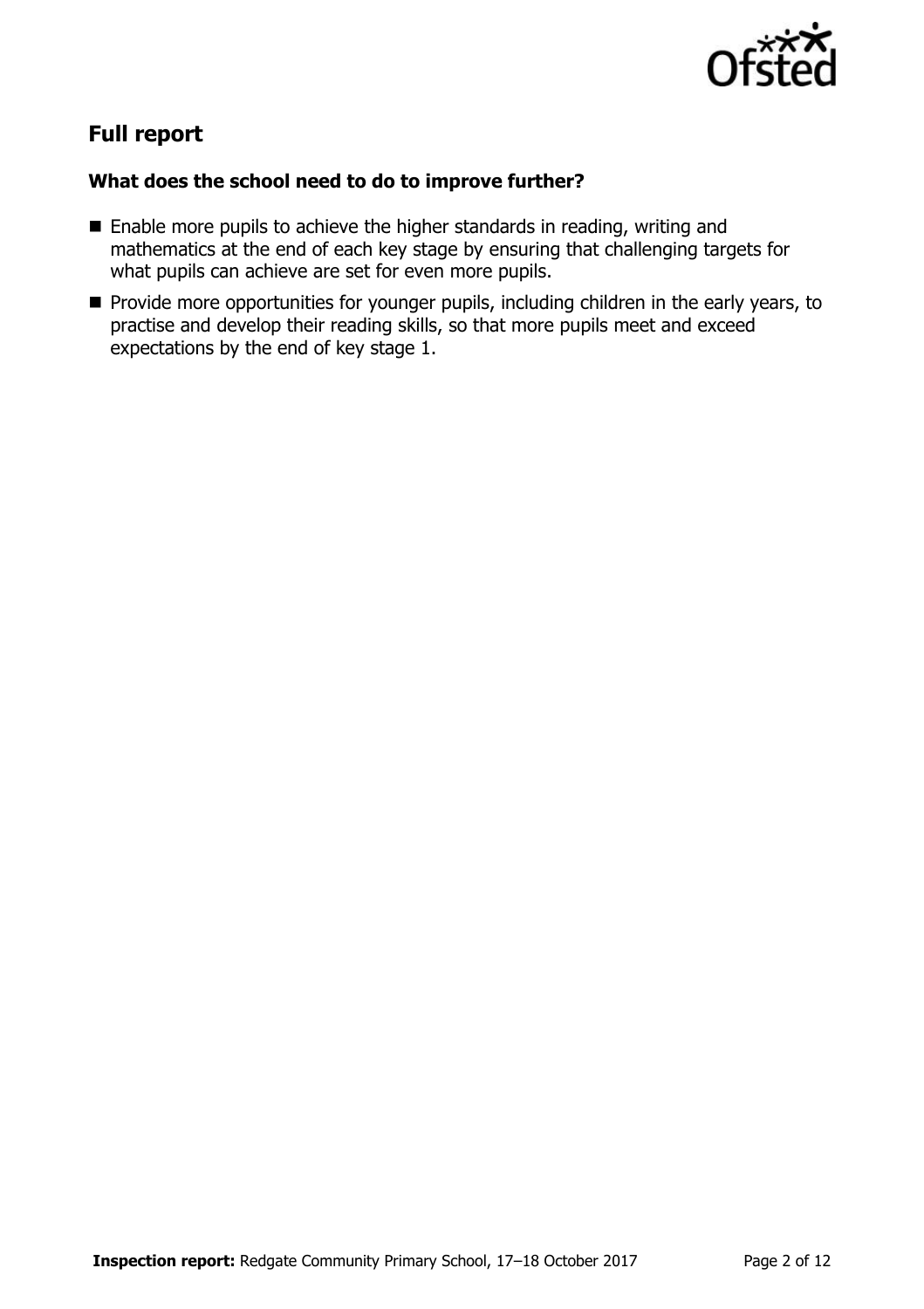

# **Full report**

#### **What does the school need to do to improve further?**

- Enable more pupils to achieve the higher standards in reading, writing and mathematics at the end of each key stage by ensuring that challenging targets for what pupils can achieve are set for even more pupils.
- **Provide more opportunities for younger pupils, including children in the early years, to** practise and develop their reading skills, so that more pupils meet and exceed expectations by the end of key stage 1.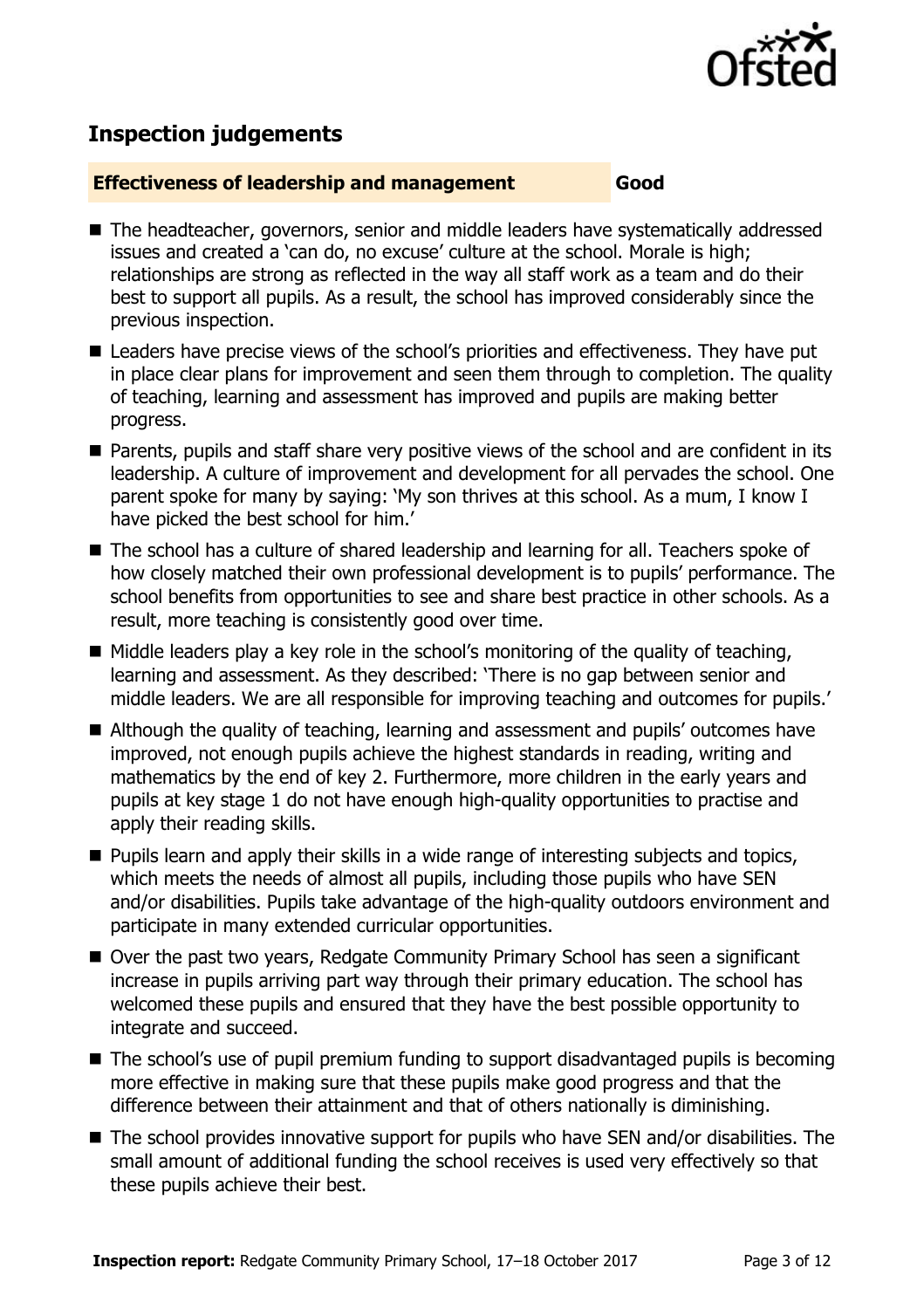

# **Inspection judgements**

#### **Effectiveness of leadership and management Good**

- The headteacher, governors, senior and middle leaders have systematically addressed issues and created a 'can do, no excuse' culture at the school. Morale is high; relationships are strong as reflected in the way all staff work as a team and do their best to support all pupils. As a result, the school has improved considerably since the previous inspection.
- Leaders have precise views of the school's priorities and effectiveness. They have put in place clear plans for improvement and seen them through to completion. The quality of teaching, learning and assessment has improved and pupils are making better progress.
- Parents, pupils and staff share very positive views of the school and are confident in its leadership. A culture of improvement and development for all pervades the school. One parent spoke for many by saying: 'My son thrives at this school. As a mum, I know I have picked the best school for him.'
- The school has a culture of shared leadership and learning for all. Teachers spoke of how closely matched their own professional development is to pupils' performance. The school benefits from opportunities to see and share best practice in other schools. As a result, more teaching is consistently good over time.
- $\blacksquare$  Middle leaders play a key role in the school's monitoring of the quality of teaching, learning and assessment. As they described: 'There is no gap between senior and middle leaders. We are all responsible for improving teaching and outcomes for pupils.'
- Although the quality of teaching, learning and assessment and pupils' outcomes have improved, not enough pupils achieve the highest standards in reading, writing and mathematics by the end of key 2. Furthermore, more children in the early years and pupils at key stage 1 do not have enough high-quality opportunities to practise and apply their reading skills.
- **Pupils learn and apply their skills in a wide range of interesting subjects and topics,** which meets the needs of almost all pupils, including those pupils who have SEN and/or disabilities. Pupils take advantage of the high-quality outdoors environment and participate in many extended curricular opportunities.
- Over the past two years, Redgate Community Primary School has seen a significant increase in pupils arriving part way through their primary education. The school has welcomed these pupils and ensured that they have the best possible opportunity to integrate and succeed.
- The school's use of pupil premium funding to support disadvantaged pupils is becoming more effective in making sure that these pupils make good progress and that the difference between their attainment and that of others nationally is diminishing.
- The school provides innovative support for pupils who have SEN and/or disabilities. The small amount of additional funding the school receives is used very effectively so that these pupils achieve their best.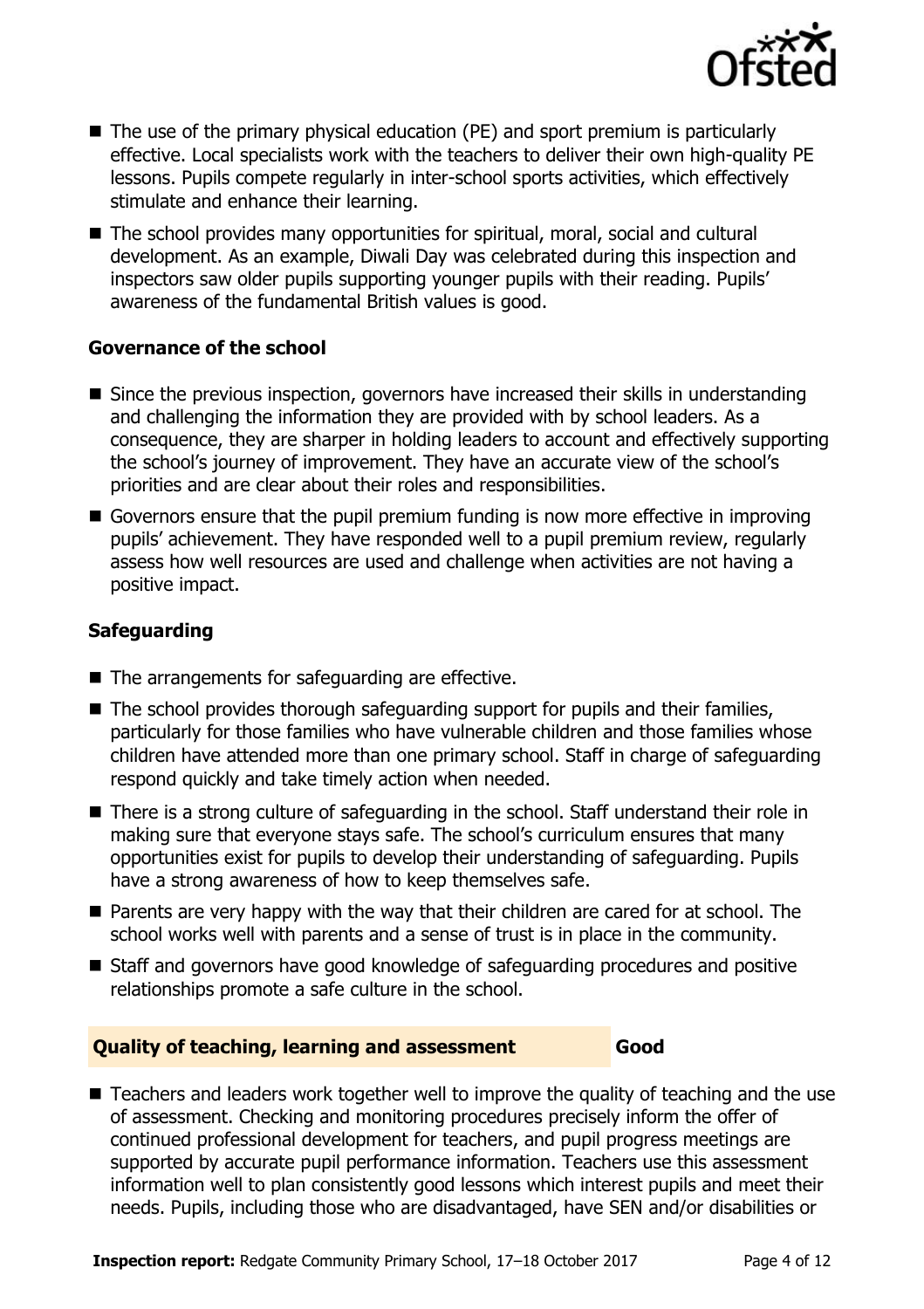

- $\blacksquare$  The use of the primary physical education (PE) and sport premium is particularly effective. Local specialists work with the teachers to deliver their own high-quality PE lessons. Pupils compete regularly in inter-school sports activities, which effectively stimulate and enhance their learning.
- The school provides many opportunities for spiritual, moral, social and cultural development. As an example, Diwali Day was celebrated during this inspection and inspectors saw older pupils supporting younger pupils with their reading. Pupils' awareness of the fundamental British values is good.

#### **Governance of the school**

- Since the previous inspection, governors have increased their skills in understanding and challenging the information they are provided with by school leaders. As a consequence, they are sharper in holding leaders to account and effectively supporting the school's journey of improvement. They have an accurate view of the school's priorities and are clear about their roles and responsibilities.
- Governors ensure that the pupil premium funding is now more effective in improving pupils' achievement. They have responded well to a pupil premium review, regularly assess how well resources are used and challenge when activities are not having a positive impact.

### **Safeguarding**

- The arrangements for safeguarding are effective.
- $\blacksquare$  The school provides thorough safeguarding support for pupils and their families, particularly for those families who have vulnerable children and those families whose children have attended more than one primary school. Staff in charge of safeguarding respond quickly and take timely action when needed.
- There is a strong culture of safeguarding in the school. Staff understand their role in making sure that everyone stays safe. The school's curriculum ensures that many opportunities exist for pupils to develop their understanding of safeguarding. Pupils have a strong awareness of how to keep themselves safe.
- **Parents are very happy with the way that their children are cared for at school. The** school works well with parents and a sense of trust is in place in the community.
- Staff and governors have good knowledge of safeguarding procedures and positive relationships promote a safe culture in the school.

#### **Quality of teaching, learning and assessment Good**

■ Teachers and leaders work together well to improve the quality of teaching and the use of assessment. Checking and monitoring procedures precisely inform the offer of continued professional development for teachers, and pupil progress meetings are supported by accurate pupil performance information. Teachers use this assessment information well to plan consistently good lessons which interest pupils and meet their needs. Pupils, including those who are disadvantaged, have SEN and/or disabilities or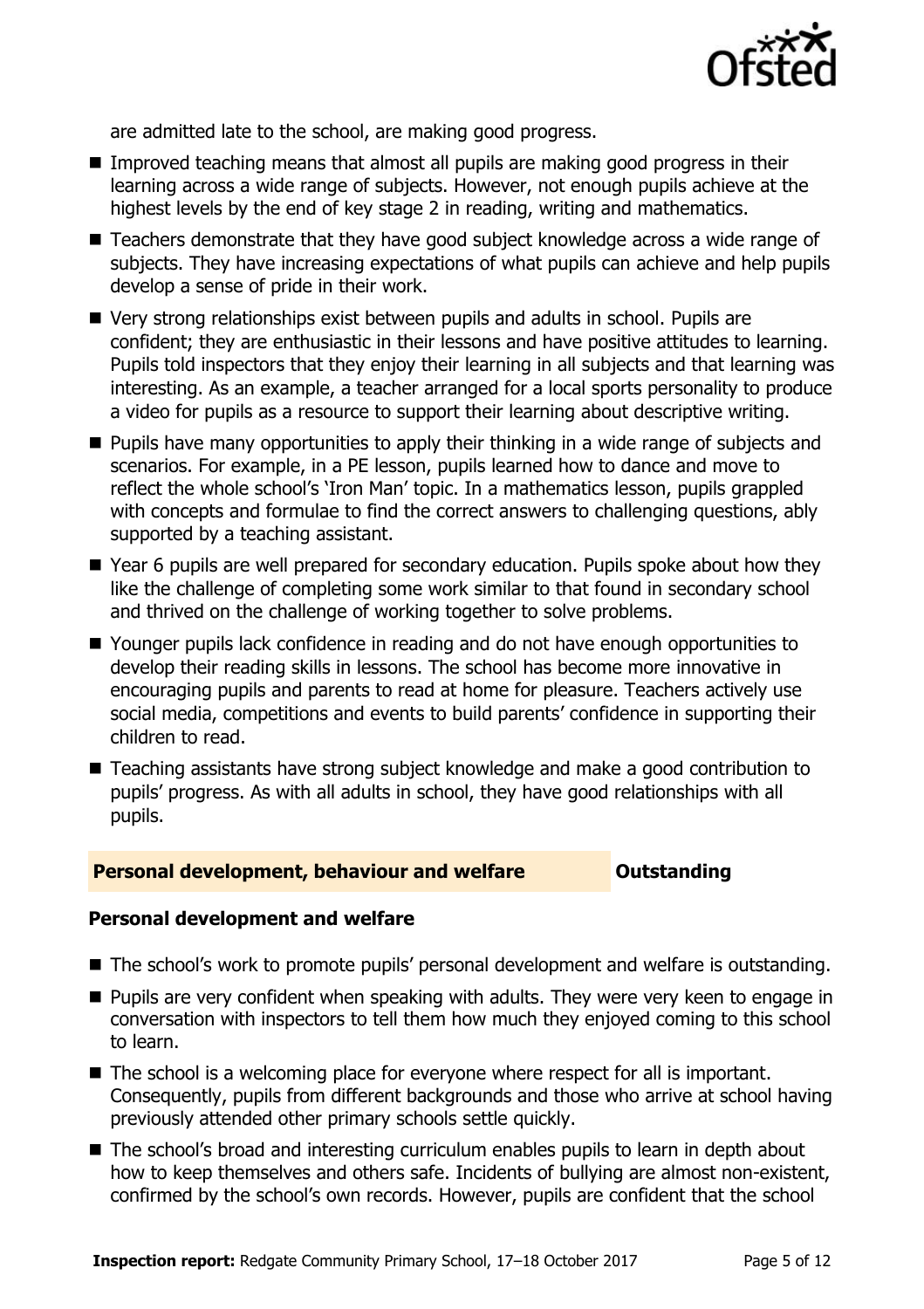

are admitted late to the school, are making good progress.

- Improved teaching means that almost all pupils are making good progress in their learning across a wide range of subjects. However, not enough pupils achieve at the highest levels by the end of key stage 2 in reading, writing and mathematics.
- Teachers demonstrate that they have good subject knowledge across a wide range of subjects. They have increasing expectations of what pupils can achieve and help pupils develop a sense of pride in their work.
- Very strong relationships exist between pupils and adults in school. Pupils are confident; they are enthusiastic in their lessons and have positive attitudes to learning. Pupils told inspectors that they enjoy their learning in all subjects and that learning was interesting. As an example, a teacher arranged for a local sports personality to produce a video for pupils as a resource to support their learning about descriptive writing.
- **Pupils have many opportunities to apply their thinking in a wide range of subjects and** scenarios. For example, in a PE lesson, pupils learned how to dance and move to reflect the whole school's 'Iron Man' topic. In a mathematics lesson, pupils grappled with concepts and formulae to find the correct answers to challenging questions, ably supported by a teaching assistant.
- Year 6 pupils are well prepared for secondary education. Pupils spoke about how they like the challenge of completing some work similar to that found in secondary school and thrived on the challenge of working together to solve problems.
- Younger pupils lack confidence in reading and do not have enough opportunities to develop their reading skills in lessons. The school has become more innovative in encouraging pupils and parents to read at home for pleasure. Teachers actively use social media, competitions and events to build parents' confidence in supporting their children to read.
- Teaching assistants have strong subject knowledge and make a good contribution to pupils' progress. As with all adults in school, they have good relationships with all pupils.

#### **Personal development, behaviour and welfare <b>COULTS** Outstanding

#### **Personal development and welfare**

- The school's work to promote pupils' personal development and welfare is outstanding.
- **Pupils are very confident when speaking with adults. They were very keen to engage in** conversation with inspectors to tell them how much they enjoyed coming to this school to learn.
- The school is a welcoming place for everyone where respect for all is important. Consequently, pupils from different backgrounds and those who arrive at school having previously attended other primary schools settle quickly.
- The school's broad and interesting curriculum enables pupils to learn in depth about how to keep themselves and others safe. Incidents of bullying are almost non-existent, confirmed by the school's own records. However, pupils are confident that the school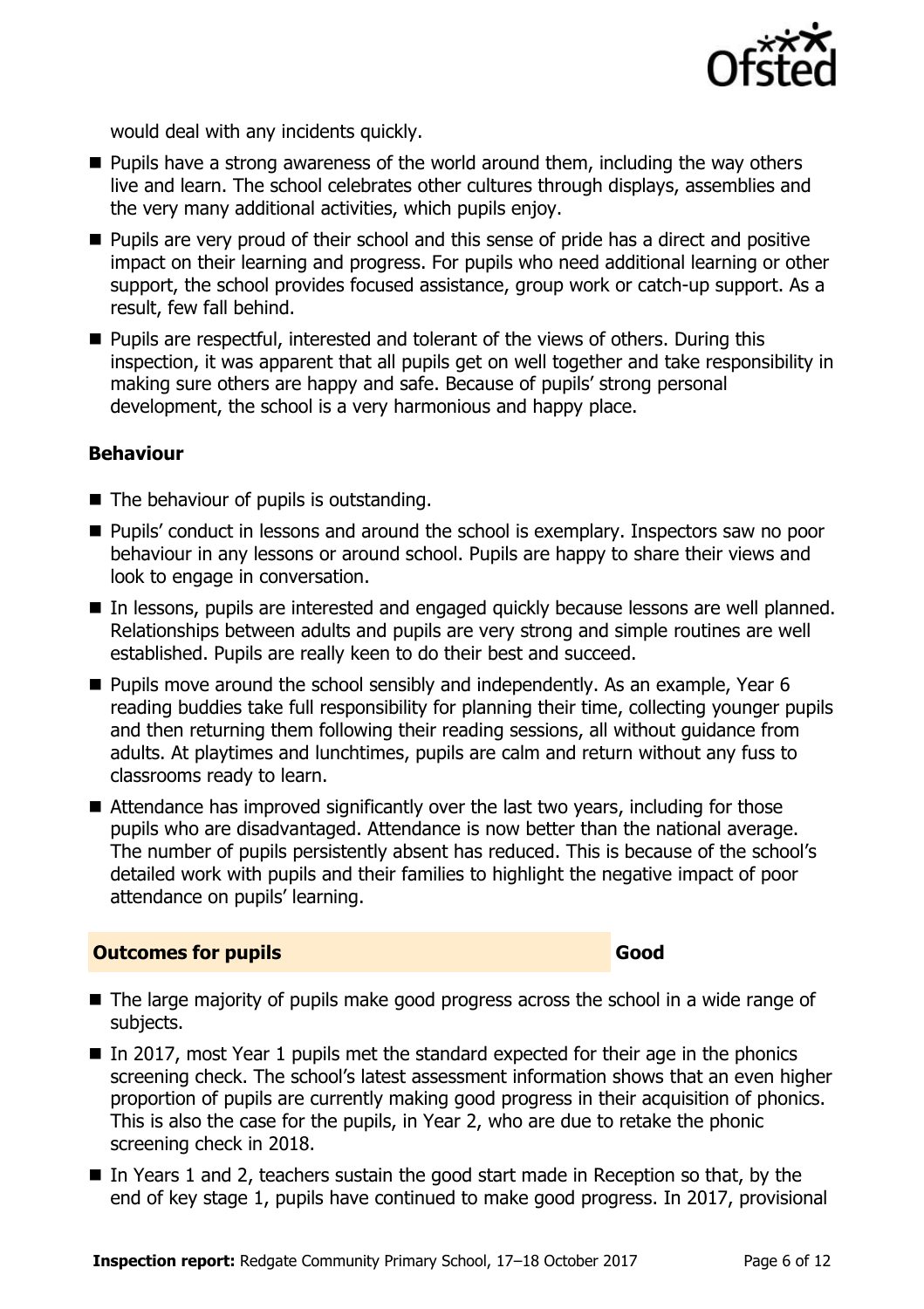

would deal with any incidents quickly.

- $\blacksquare$  Pupils have a strong awareness of the world around them, including the way others live and learn. The school celebrates other cultures through displays, assemblies and the very many additional activities, which pupils enjoy.
- **Pupils are very proud of their school and this sense of pride has a direct and positive** impact on their learning and progress. For pupils who need additional learning or other support, the school provides focused assistance, group work or catch-up support. As a result, few fall behind.
- **Pupils are respectful, interested and tolerant of the views of others. During this** inspection, it was apparent that all pupils get on well together and take responsibility in making sure others are happy and safe. Because of pupils' strong personal development, the school is a very harmonious and happy place.

#### **Behaviour**

- The behaviour of pupils is outstanding.
- **Pupils'** conduct in lessons and around the school is exemplary. Inspectors saw no poor behaviour in any lessons or around school. Pupils are happy to share their views and look to engage in conversation.
- In lessons, pupils are interested and engaged quickly because lessons are well planned. Relationships between adults and pupils are very strong and simple routines are well established. Pupils are really keen to do their best and succeed.
- $\blacksquare$  Pupils move around the school sensibly and independently. As an example, Year 6 reading buddies take full responsibility for planning their time, collecting younger pupils and then returning them following their reading sessions, all without guidance from adults. At playtimes and lunchtimes, pupils are calm and return without any fuss to classrooms ready to learn.
- Attendance has improved significantly over the last two vears, including for those pupils who are disadvantaged. Attendance is now better than the national average. The number of pupils persistently absent has reduced. This is because of the school's detailed work with pupils and their families to highlight the negative impact of poor attendance on pupils' learning.

#### **Outcomes for pupils Good**

- The large majority of pupils make good progress across the school in a wide range of subjects.
- In 2017, most Year 1 pupils met the standard expected for their age in the phonics screening check. The school's latest assessment information shows that an even higher proportion of pupils are currently making good progress in their acquisition of phonics. This is also the case for the pupils, in Year 2, who are due to retake the phonic screening check in 2018.
- In Years 1 and 2, teachers sustain the good start made in Reception so that, by the end of key stage 1, pupils have continued to make good progress. In 2017, provisional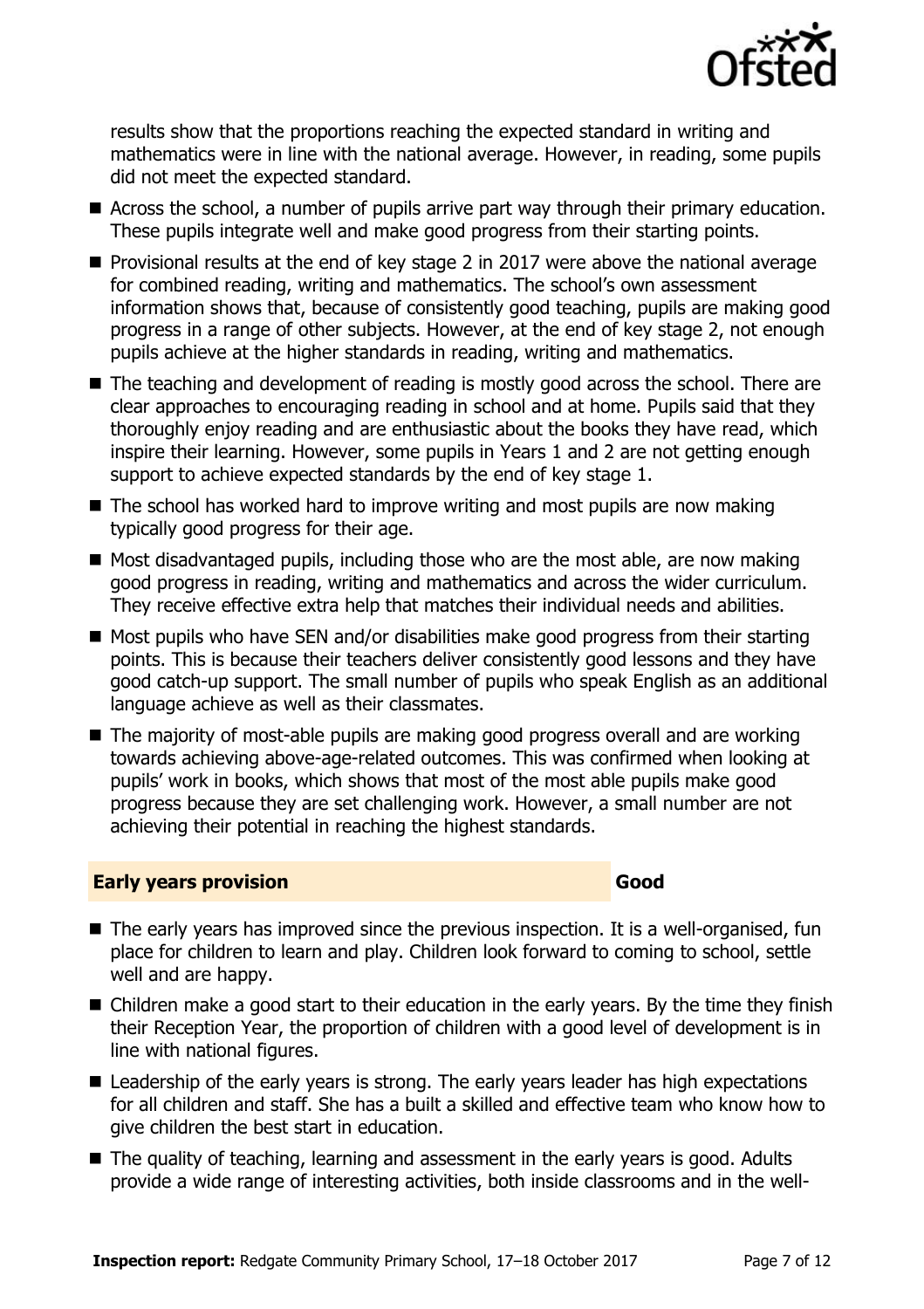

results show that the proportions reaching the expected standard in writing and mathematics were in line with the national average. However, in reading, some pupils did not meet the expected standard.

- Across the school, a number of pupils arrive part way through their primary education. These pupils integrate well and make good progress from their starting points.
- **Provisional results at the end of key stage 2 in 2017 were above the national average** for combined reading, writing and mathematics. The school's own assessment information shows that, because of consistently good teaching, pupils are making good progress in a range of other subjects. However, at the end of key stage 2, not enough pupils achieve at the higher standards in reading, writing and mathematics.
- The teaching and development of reading is mostly good across the school. There are clear approaches to encouraging reading in school and at home. Pupils said that they thoroughly enjoy reading and are enthusiastic about the books they have read, which inspire their learning. However, some pupils in Years 1 and 2 are not getting enough support to achieve expected standards by the end of key stage 1.
- $\blacksquare$  The school has worked hard to improve writing and most pupils are now making typically good progress for their age.
- $\blacksquare$  Most disadvantaged pupils, including those who are the most able, are now making good progress in reading, writing and mathematics and across the wider curriculum. They receive effective extra help that matches their individual needs and abilities.
- $\blacksquare$  Most pupils who have SEN and/or disabilities make good progress from their starting points. This is because their teachers deliver consistently good lessons and they have good catch-up support. The small number of pupils who speak English as an additional language achieve as well as their classmates.
- The majority of most-able pupils are making good progress overall and are working towards achieving above-age-related outcomes. This was confirmed when looking at pupils' work in books, which shows that most of the most able pupils make good progress because they are set challenging work. However, a small number are not achieving their potential in reaching the highest standards.

#### **Early years provision Good**

- The early years has improved since the previous inspection. It is a well-organised, fun place for children to learn and play. Children look forward to coming to school, settle well and are happy.
- Children make a good start to their education in the early years. By the time they finish their Reception Year, the proportion of children with a good level of development is in line with national figures.
- Leadership of the early years is strong. The early years leader has high expectations for all children and staff. She has a built a skilled and effective team who know how to give children the best start in education.
- The quality of teaching, learning and assessment in the early years is good. Adults provide a wide range of interesting activities, both inside classrooms and in the well-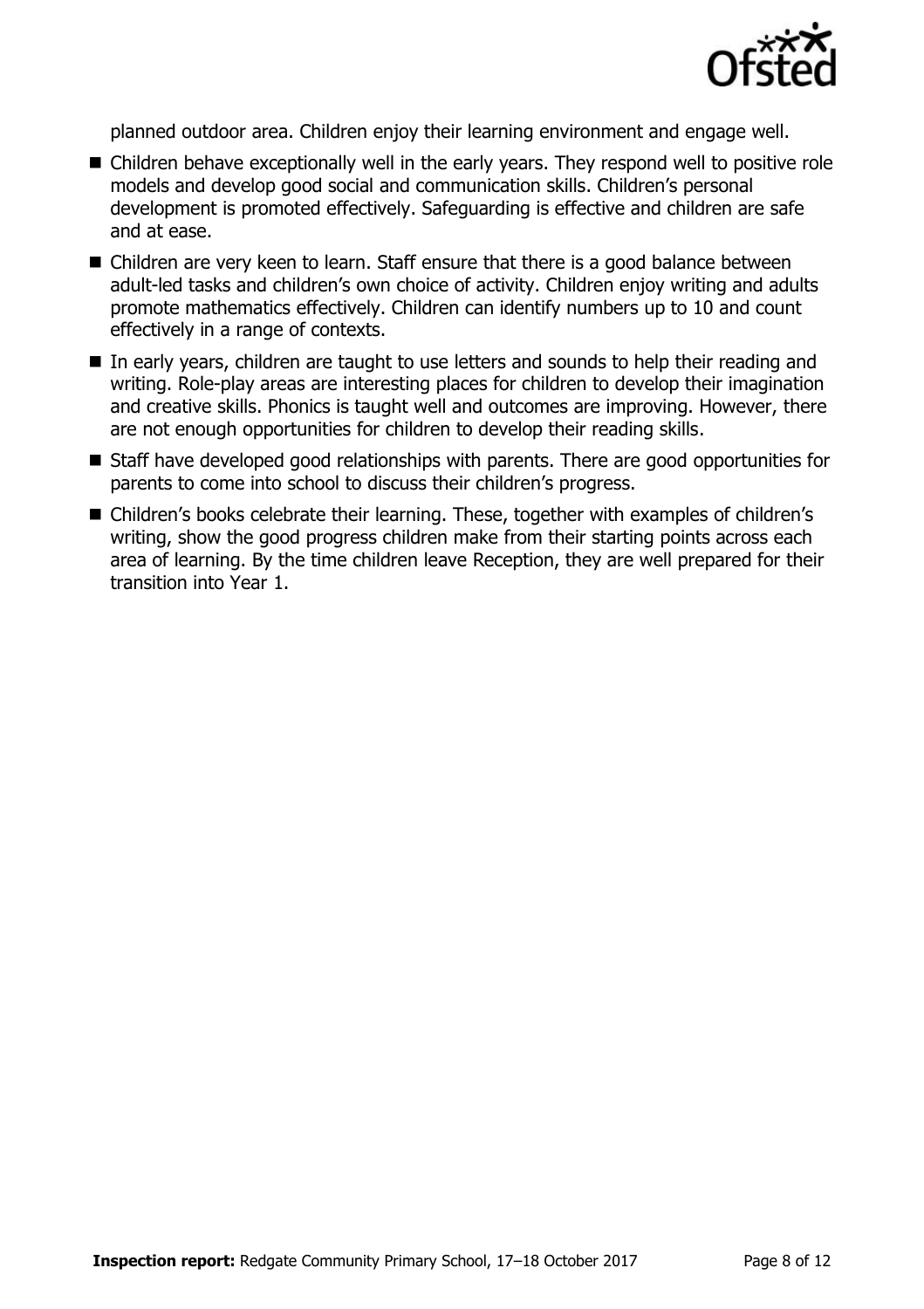

planned outdoor area. Children enjoy their learning environment and engage well.

- Children behave exceptionally well in the early years. They respond well to positive role models and develop good social and communication skills. Children's personal development is promoted effectively. Safeguarding is effective and children are safe and at ease.
- Children are very keen to learn. Staff ensure that there is a good balance between adult-led tasks and children's own choice of activity. Children enjoy writing and adults promote mathematics effectively. Children can identify numbers up to 10 and count effectively in a range of contexts.
- In early years, children are taught to use letters and sounds to help their reading and writing. Role-play areas are interesting places for children to develop their imagination and creative skills. Phonics is taught well and outcomes are improving. However, there are not enough opportunities for children to develop their reading skills.
- Staff have developed good relationships with parents. There are good opportunities for parents to come into school to discuss their children's progress.
- Children's books celebrate their learning. These, together with examples of children's writing, show the good progress children make from their starting points across each area of learning. By the time children leave Reception, they are well prepared for their transition into Year 1.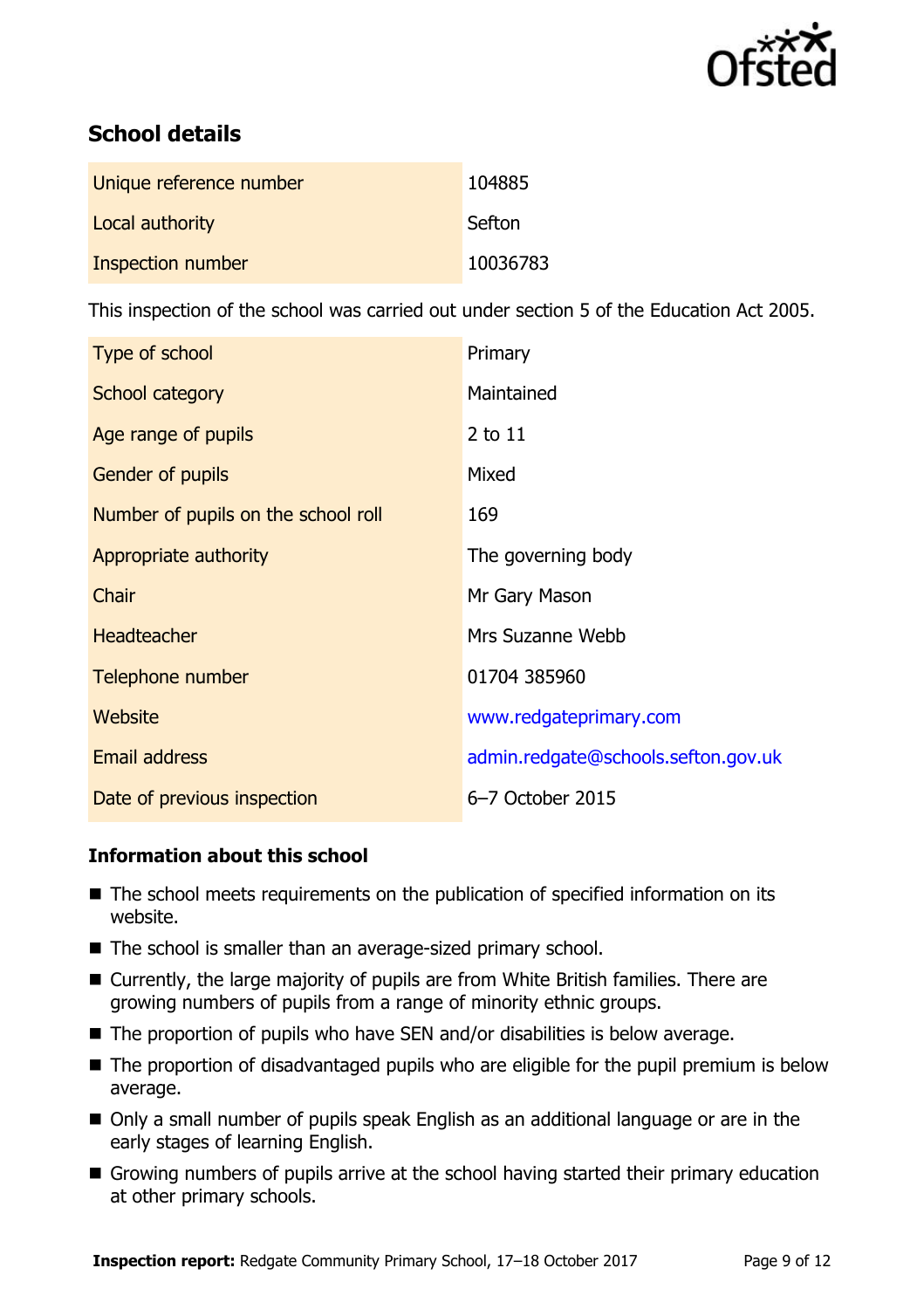

# **School details**

| Unique reference number | 104885   |
|-------------------------|----------|
| Local authority         | Sefton   |
| Inspection number       | 10036783 |

This inspection of the school was carried out under section 5 of the Education Act 2005.

| Type of school                      | Primary                             |
|-------------------------------------|-------------------------------------|
| School category                     | Maintained                          |
| Age range of pupils                 | $2$ to $11$                         |
| <b>Gender of pupils</b>             | Mixed                               |
| Number of pupils on the school roll | 169                                 |
| Appropriate authority               | The governing body                  |
| Chair                               | Mr Gary Mason                       |
| <b>Headteacher</b>                  | Mrs Suzanne Webb                    |
| Telephone number                    | 01704 385960                        |
| Website                             | www.redgateprimary.com              |
| <b>Email address</b>                | admin.redgate@schools.sefton.gov.uk |
| Date of previous inspection         | 6-7 October 2015                    |

#### **Information about this school**

- The school meets requirements on the publication of specified information on its website.
- The school is smaller than an average-sized primary school.
- Currently, the large majority of pupils are from White British families. There are growing numbers of pupils from a range of minority ethnic groups.
- The proportion of pupils who have SEN and/or disabilities is below average.
- The proportion of disadvantaged pupils who are eligible for the pupil premium is below average.
- Only a small number of pupils speak English as an additional language or are in the early stages of learning English.
- Growing numbers of pupils arrive at the school having started their primary education at other primary schools.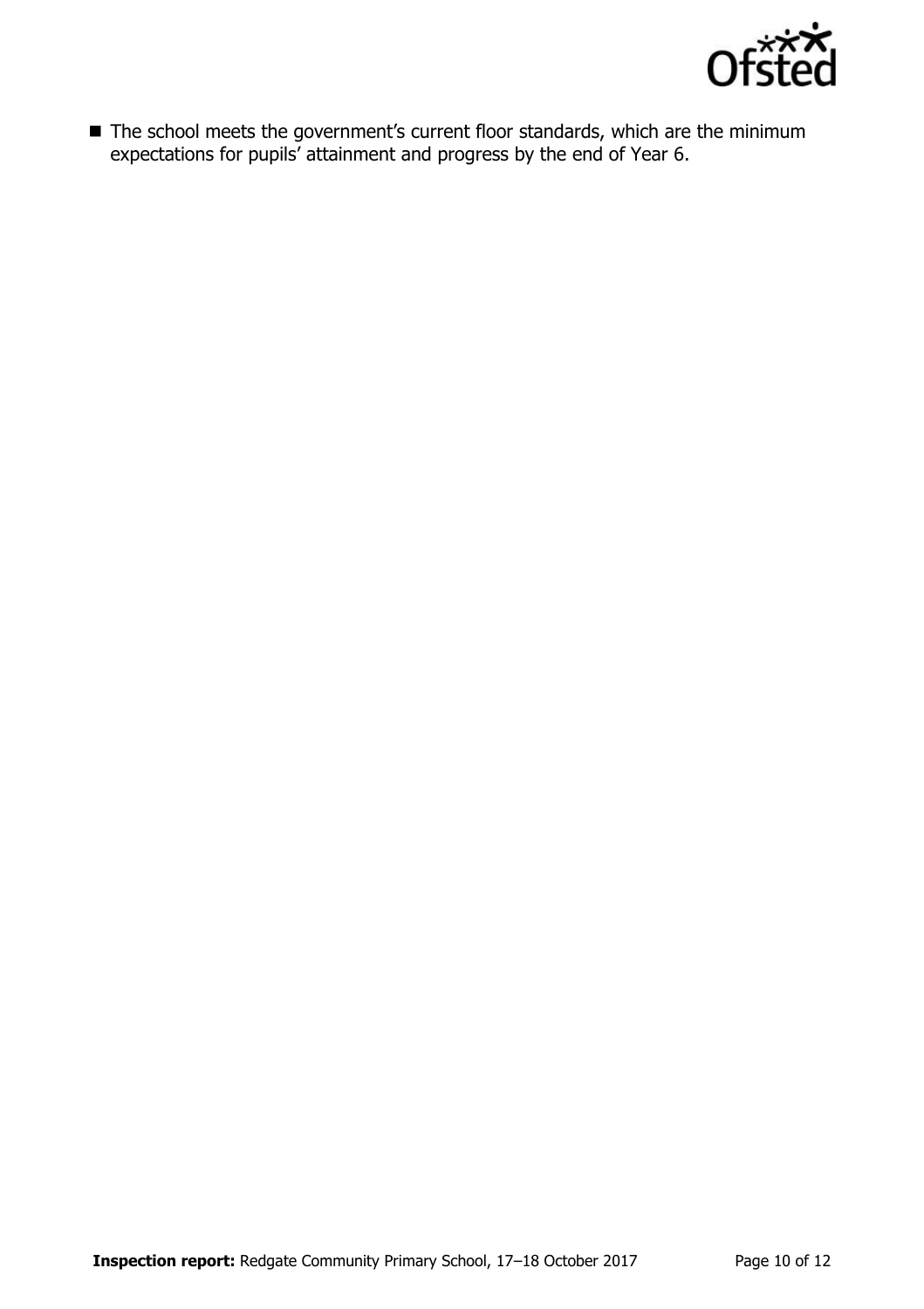

■ The school meets the government's current floor standards, which are the minimum expectations for pupils' attainment and progress by the end of Year 6.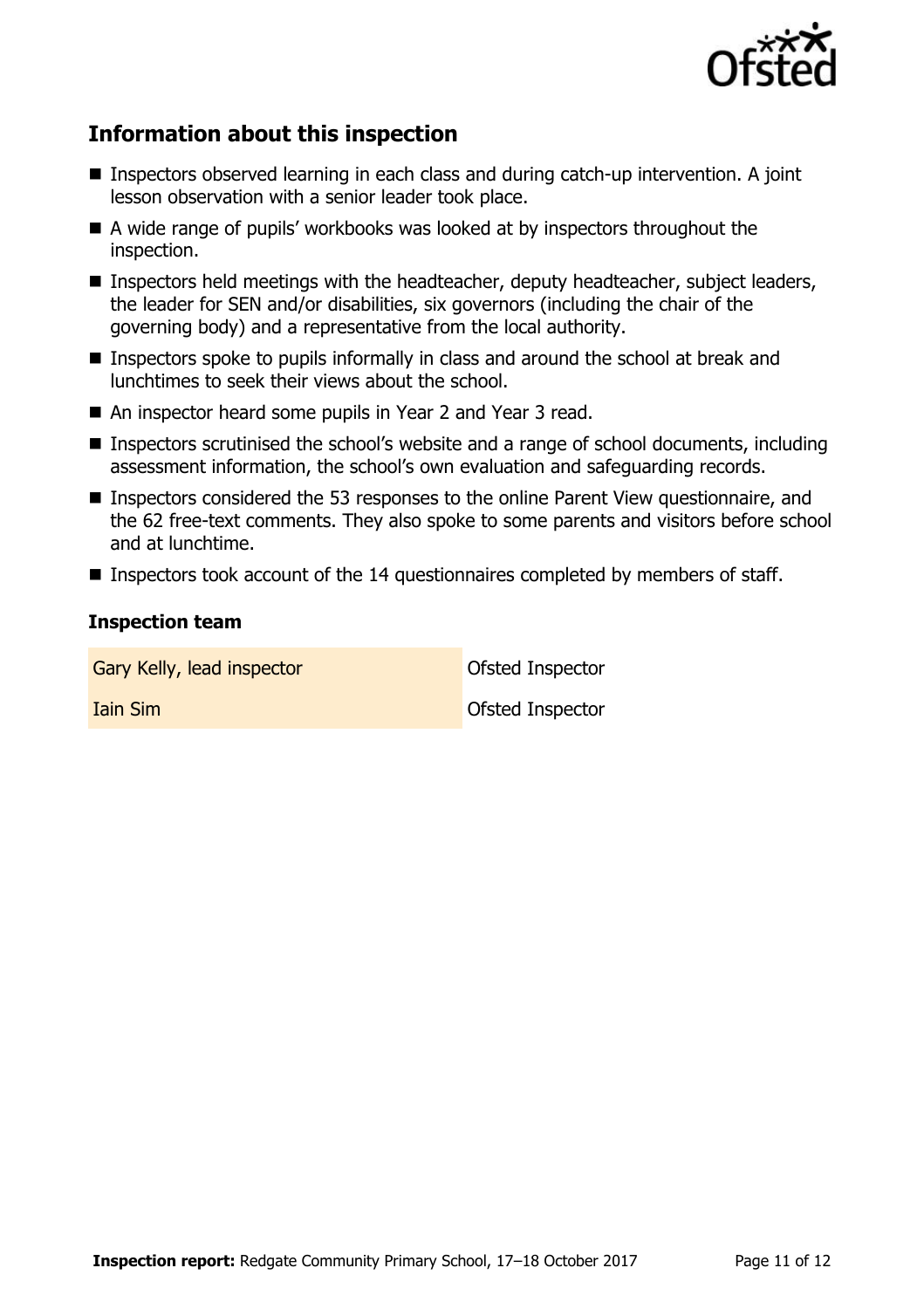

# **Information about this inspection**

- Inspectors observed learning in each class and during catch-up intervention. A joint lesson observation with a senior leader took place.
- A wide range of pupils' workbooks was looked at by inspectors throughout the inspection.
- Inspectors held meetings with the headteacher, deputy headteacher, subject leaders, the leader for SEN and/or disabilities, six governors (including the chair of the governing body) and a representative from the local authority.
- Inspectors spoke to pupils informally in class and around the school at break and lunchtimes to seek their views about the school.
- An inspector heard some pupils in Year 2 and Year 3 read.
- Inspectors scrutinised the school's website and a range of school documents, including assessment information, the school's own evaluation and safeguarding records.
- Inspectors considered the 53 responses to the online Parent View questionnaire, and the 62 free-text comments. They also spoke to some parents and visitors before school and at lunchtime.
- Inspectors took account of the 14 questionnaires completed by members of staff.

#### **Inspection team**

Gary Kelly, lead inspector **Cary Constant Constant Constant** Ofsted Inspector Iain Sim Ofsted Inspector